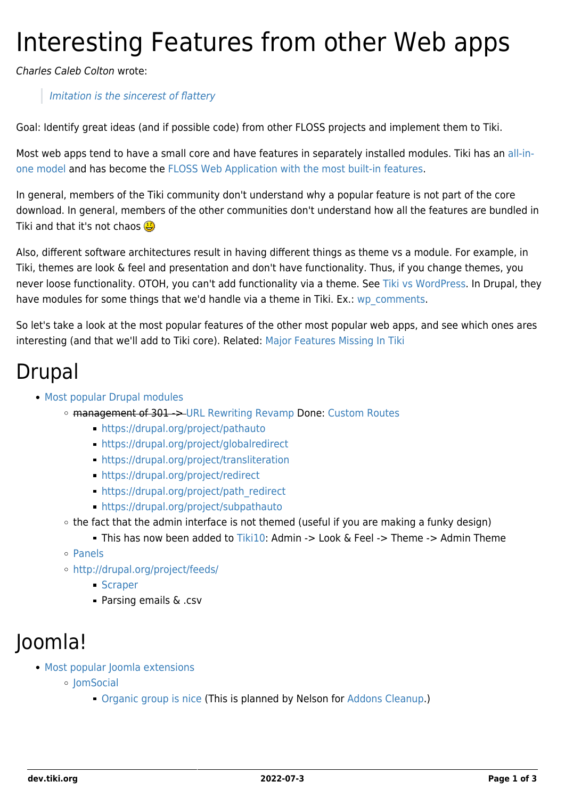# Interesting Features from other Web apps

Charles Caleb Colton wrote:

#### [Imitation is the sincerest of flattery](http://en.wikiquote.org/wiki/Imitation)

Goal: Identify great ideas (and if possible code) from other FLOSS projects and implement them to Tiki.

Most web apps tend to have a small core and have features in separately installed modules. Tiki has an [all-in](http://tiki.org/all-in-one%20model)[one model](http://tiki.org/all-in-one%20model) and has become the [FLOSS Web Application with the most built-in features.](http://tiki.org/FLOSS%20Web%20Application%20with%20the%20most%20built-in%20features)

In general, members of the Tiki community don't understand why a popular feature is not part of the core download. In general, members of the other communities don't understand how all the features are bundled in Tiki and that it's not chaos **B** 

Also, different software architectures result in having different things as theme vs a module. For example, in Tiki, themes are look & feel and presentation and don't have functionality. Thus, if you change themes, you never loose functionality. OTOH, you can't add functionality via a theme. See [Tiki vs WordPress.](http://tiki.org/Tiki%20vs%20WordPress) In Drupal, they have modules for some things that we'd handle via a theme in Tiki. Ex.: [wp\\_comments](http://drupal.org/project/wp_comments).

So let's take a look at the most popular features of the other most popular web apps, and see which ones ares interesting (and that we'll add to Tiki core). Related: [Major Features Missing In Tiki](https://dev.tiki.org/Major-Features-Missing-In-Tiki)

#### Drupal

- [Most popular Drupal modules](http://drupal.org/project/usage)
	- management of 301 -> [URL Rewriting Revamp](https://dev.tiki.org/URL-Rewriting-Revamp) Done: [Custom Routes](http://doc.tiki.org/Custom%20Routes)
		- <https://drupal.org/project/pathauto>
		- <https://drupal.org/project/globalredirect>
		- <https://drupal.org/project/transliteration>
		- <https://drupal.org/project/redirect>
		- [https://drupal.org/project/path\\_redirect](https://drupal.org/project/path_redirect)
		- <https://drupal.org/project/subpathauto>
		- the fact that the admin interface is not themed (useful if you are making a funky design)
			- This has now been added to [Tiki10:](https://dev.tiki.org/Tiki10) Admin -> Look & Feel -> Theme -> Admin Theme
		- o [Panels](http://drupal.org/project/panels)
		- <http://drupal.org/project/feeds/>
			- **[Scraper](https://dev.tiki.org/Scraper)**
			- Parsing emails & .csv

#### Joomla!

- [Most popular Joomla extensions](http://extensions.joomla.org/extensions/popular)
	- o IomSocial
		- [Organic group is nice](http://www.jomsocial.com/overview/groups.html) (This is planned by Nelson for [Addons Cleanup.](https://dev.tiki.org/Addons-Cleanup))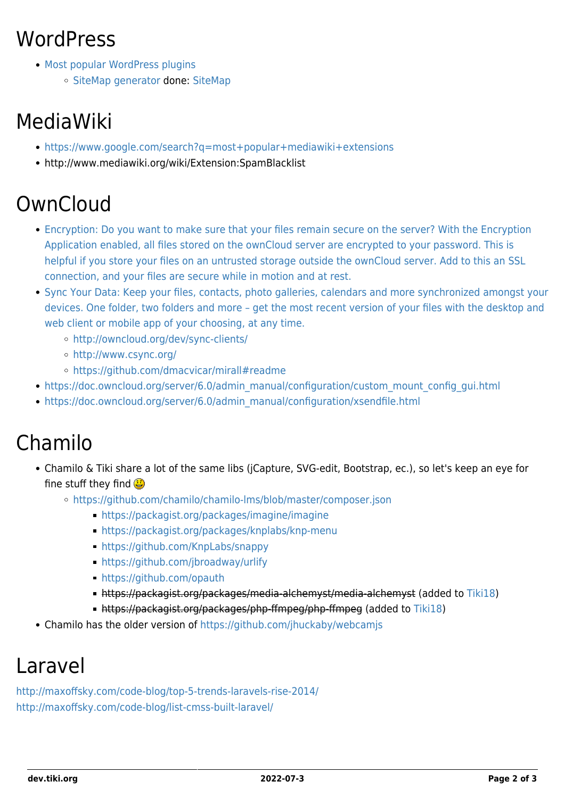## **WordPress**

- [Most popular WordPress plugins](http://wordpress.org/extend/plugins/browse/popular/)
	- [SiteMap generator](http://wordpress.org/extend/plugins/google-sitemap-generator/) done: [SiteMap](http://doc.tiki.org/SiteMap)

# MediaWiki

- <https://www.google.com/search?q=most+popular+mediawiki+extensions>
- http://www.mediawiki.org/wiki/Extension:SpamBlacklist

# **OwnCloud**

- [Encryption: Do you want to make sure that your files remain secure on the server? With the Encryption](http://owncloud.org/features/) [Application enabled, all files stored on the ownCloud server are encrypted to your password. This is](http://owncloud.org/features/) [helpful if you store your files on an untrusted storage outside the ownCloud server. Add to this an SSL](http://owncloud.org/features/) [connection, and your files are secure while in motion and at rest.](http://owncloud.org/features/)
- [Sync Your Data: Keep your files, contacts, photo galleries, calendars and more synchronized amongst your](http://owncloud.org/features/) [devices. One folder, two folders and more – get the most recent version of your files with the desktop and](http://owncloud.org/features/) [web client or mobile app of your choosing, at any time.](http://owncloud.org/features/)
	- <http://owncloud.org/dev/sync-clients/>
	- <http://www.csync.org/>
	- <https://github.com/dmacvicar/mirall#readme>
- [https://doc.owncloud.org/server/6.0/admin\\_manual/configuration/custom\\_mount\\_config\\_gui.html](https://doc.owncloud.org/server/6.0/admin_manual/configuration/custom_mount_config_gui.html)
- [https://doc.owncloud.org/server/6.0/admin\\_manual/configuration/xsendfile.html](https://doc.owncloud.org/server/6.0/admin_manual/configuration/xsendfile.html)

# Chamilo

- Chamilo & Tiki share a lot of the same libs (jCapture, SVG-edit, Bootstrap, ec.), so let's keep an eye for fine stuff they find
	- <https://github.com/chamilo/chamilo-lms/blob/master/composer.json>
		- <https://packagist.org/packages/imagine/imagine>
		- <https://packagist.org/packages/knplabs/knp-menu>
		- <https://github.com/KnpLabs/snappy>
		- <https://github.com/jbroadway/urlify>
		- <https://github.com/opauth>
		- https://packagist.org/packages/media-alchemyst/media-alchemyst (added to [Tiki18](http://doc.tiki.org/Tiki18))
		- https://packagist.org/packages/php-ffmpeg/php-ffmpeg (added to [Tiki18](http://doc.tiki.org/Tiki18))
- Chamilo has the older version of<https://github.com/jhuckaby/webcamjs>

#### Laravel

<http://maxoffsky.com/code-blog/top-5-trends-laravels-rise-2014/> <http://maxoffsky.com/code-blog/list-cmss-built-laravel/>